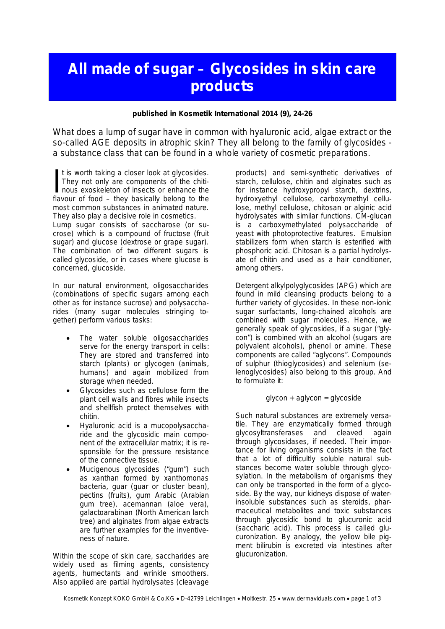## **All made of sugar – Glycosides in skin care products**

**published in Kosmetik International 2014 (9), 24-26**

What does a lump of sugar have in common with hyaluronic acid, algae extract or the so-called AGE deposits in atrophic skin? They all belong to the family of glycosides a substance class that can be found in a whole variety of cosmetic preparations.

t is worth taking a closer look at glycosides. They not only are components of the chitinous exoskeleton of insects or enhance the It is worth taking a closer look at glycosides.<br>They not only are components of the chitinous exoskeleton of insects or enhance the<br>flavour of food – they basically belong to the most common substances in animated nature. They also play a decisive role in cosmetics. Lump sugar consists of saccharose (or sucrose) which is a compound of fructose (fruit sugar) and glucose (dextrose or grape sugar). The combination of two different sugars is called glycoside, or in cases where glucose is concerned, glucoside.

In our natural environment, oligosaccharides (combinations of specific sugars among each other as for instance sucrose) and polysaccharides (many sugar molecules stringing together) perform various tasks:

- The water soluble oligosaccharides serve for the energy transport in cells: They are stored and transferred into starch (plants) or glycogen (animals, humans) and again mobilized from storage when needed.
- Glycosides such as cellulose form the plant cell walls and fibres while insects and shellfish protect themselves with chitin.
- · Hyaluronic acid is a mucopolysaccharide and the glycosidic main component of the extracellular matrix; it is responsible for the pressure resistance of the connective tissue.
- Mucigenous glycosides ("gum") such as xanthan formed by xanthomonas bacteria, guar (guar or cluster bean), pectins (fruits), gum Arabic (Arabian gum tree), acemannan (aloe vera), galactoarabinan (North American larch tree) and alginates from algae extracts are further examples for the inventiveness of nature.

Within the scope of skin care, saccharides are widely used as filming agents, consistency agents, humectants and wrinkle smoothers. Also applied are partial hydrolysates (cleavage

products) and semi-synthetic derivatives of starch, cellulose, chitin and alginates such as for instance hydroxypropyl starch, dextrins, hydroxyethyl cellulose, carboxymethyl cellulose, methyl cellulose, chitosan or alginic acid hydrolysates with similar functions. CM-glucan is a carboxymethylated polysaccharide of yeast with photoprotective features. Emulsion stabilizers form when starch is esterified with phosphoric acid. Chitosan is a partial hydrolysate of chitin and used as a hair conditioner, among others.

Detergent alkylpolyglycosides (APG) which are found in mild cleansing products belong to a further variety of glycosides. In these non-ionic sugar surfactants, long-chained alcohols are combined with sugar molecules. Hence, we generally speak of glycosides, if a sugar ("glycon") is combined with an alcohol (sugars are polyvalent alcohols), phenol or amine. These components are called "aglycons". Compounds of sulphur (thioglycosides) and selenium (selenoglycosides) also belong to this group. And to formulate it:

glycon + aglycon = glycoside

Such natural substances are extremely versatile. They are enzymatically formed through glycosyltransferases and cleaved again through glycosidases, if needed. Their importance for living organisms consists in the fact that a lot of difficultly soluble natural substances become water soluble through glycosylation. In the metabolism of organisms they can only be transported in the form of a glycoside. By the way, our kidneys dispose of waterinsoluble substances such as steroids, pharmaceutical metabolites and toxic substances through glycosidic bond to glucuronic acid (saccharic acid). This process is called glucuronization. By analogy, the yellow bile pigment bilirubin is excreted via intestines after glucuronization.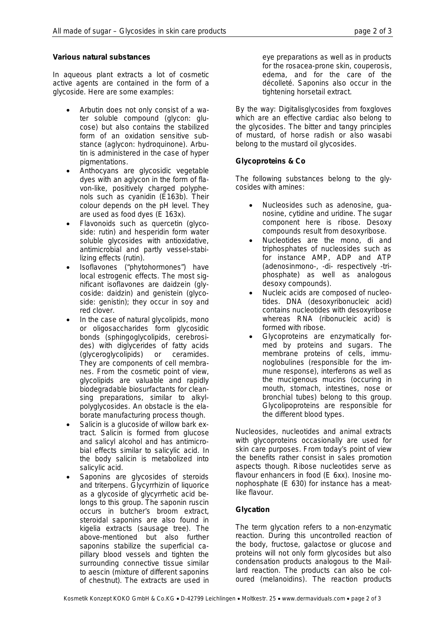## **Various natural substances**

In aqueous plant extracts a lot of cosmetic active agents are contained in the form of a glycoside. Here are some examples:

- · Arbutin does not only consist of a water soluble compound (glycon: glucose) but also contains the stabilized form of an oxidation sensitive substance (aglycon: hydroquinone). Arbutin is administered in the case of hyper pigmentations.
- Anthocyans are glycosidic vegetable dyes with an aglycon in the form of flavon-like, positively charged polyphenols such as cyanidin (E163b). Their colour depends on the pH level. They are used as food dyes (E 163x).
- · Flavonoids such as quercetin (glycoside: rutin) and hesperidin form water soluble glycosides with antioxidative, antimicrobial and partly vessel-stabilizing effects (rutin).
- Isoflavones ("phytohormones") have local estrogenic effects. The most significant isoflavones are daidzein (glycoside: daidzin) and genistein (glycoside: genistin); they occur in soy and red clover.
- · In the case of natural glycolipids, mono or oligosaccharides form glycosidic bonds (sphingoglycolipids, cerebrosides) with diglycerides of fatty acids (glyceroglycolipids) or ceramides. They are components of cell membranes. From the cosmetic point of view, glycolipids are valuable and rapidly biodegradable biosurfactants for cleansing preparations, similar to alkylpolyglycosides. An obstacle is the elaborate manufacturing process though.
- Salicin is a glucoside of willow bark extract. Salicin is formed from glucose and salicyl alcohol and has antimicrobial effects similar to salicylic acid. In the body salicin is metabolized into salicylic acid.
- Saponins are glycosides of steroids and triterpens. Glycyrrhizin of liquorice as a glycoside of glycyrrhetic acid belongs to this group. The saponin ruscin occurs in butcher's broom extract, steroidal saponins are also found in kigelia extracts (sausage tree). The above-mentioned but also further saponins stabilize the superficial capillary blood vessels and tighten the surrounding connective tissue similar to aescin (mixture of different saponins of chestnut). The extracts are used in

eye preparations as well as in products for the rosacea-prone skin, couperosis, edema, and for the care of the décolleté. Saponins also occur in the tightening horsetail extract.

By the way: Digitalisglycosides from foxgloves which are an effective cardiac also belong to the glycosides. The bitter and tangy principles of mustard, of horse radish or also wasabi belong to the mustard oil glycosides.

## **Glycoproteins & Co**

The following substances belong to the glycosides with amines:

- · Nucleosides such as adenosine, guanosine, cytidine and uridine. The sugar component here is ribose. Desoxy compounds result from desoxyribose.
- Nucleotides are the mono, di and triphosphates of nucleosides such as for instance AMP, ADP and ATP (adenosinmono-, -di- respectively -triphosphate) as well as analogous desoxy compounds).
- · Nucleic acids are composed of nucleotides. DNA (desoxyribonucleic acid) contains nucleotides with desoxyribose whereas RNA (ribonucleic acid) is formed with ribose.
- · Glycoproteins are enzymatically formed by proteins and sugars. The membrane proteins of cells, immunoglobulines (responsible for the immune response), interferons as well as the mucigenous mucins (occuring in mouth, stomach, intestines, nose or bronchial tubes) belong to this group. Glycolipoproteins are responsible for the different blood types.

Nucleosides, nucleotides and animal extracts with glycoproteins occasionally are used for skin care purposes. From today's point of view the benefits rather consist in sales promotion aspects though. Ribose nucleotides serve as flavour enhancers in food (E 6xx). Inosine monophosphate (E 630) for instance has a meatlike flavour.

## **Glycation**

The term glycation refers to a non-enzymatic reaction. During this uncontrolled reaction of the body, fructose, galactose or glucose and proteins will not only form glycosides but also condensation products analogous to the Maillard reaction. The products can also be coloured (melanoidins). The reaction products